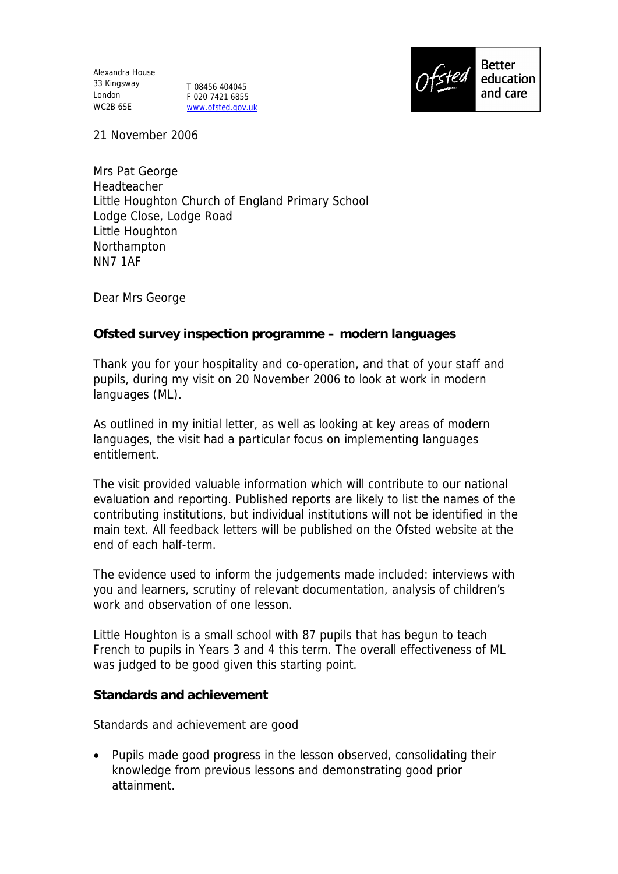Alexandra House 33 Kingsway London WC2B 6SE

T 08456 404045 F 020 7421 6855 www.ofsted.gov.uk



21 November 2006

Mrs Pat George Headteacher Little Houghton Church of England Primary School Lodge Close, Lodge Road Little Houghton Northampton NN7 1AF

Dear Mrs George

**Ofsted survey inspection programme – modern languages**

Thank you for your hospitality and co-operation, and that of your staff and pupils, during my visit on 20 November 2006 to look at work in modern languages (ML).

As outlined in my initial letter, as well as looking at key areas of modern languages, the visit had a particular focus on implementing languages entitlement.

The visit provided valuable information which will contribute to our national evaluation and reporting. Published reports are likely to list the names of the contributing institutions, but individual institutions will not be identified in the main text. All feedback letters will be published on the Ofsted website at the end of each half-term.

The evidence used to inform the judgements made included: interviews with you and learners, scrutiny of relevant documentation, analysis of children's work and observation of one lesson.

Little Houghton is a small school with 87 pupils that has begun to teach French to pupils in Years 3 and 4 this term. The overall effectiveness of ML was judged to be good given this starting point.

**Standards and achievement**

Standards and achievement are good

• Pupils made good progress in the lesson observed, consolidating their knowledge from previous lessons and demonstrating good prior attainment.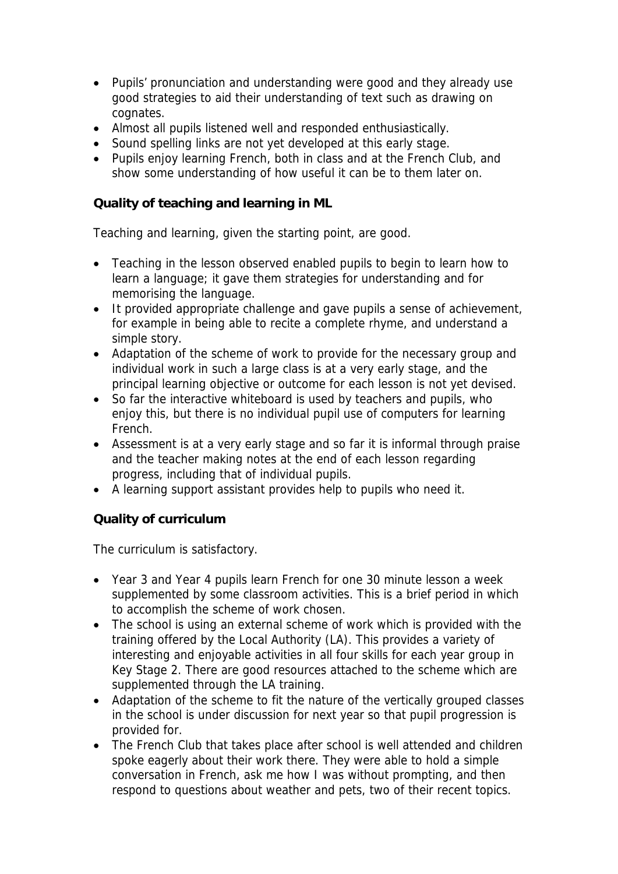- Pupils' pronunciation and understanding were good and they already use good strategies to aid their understanding of text such as drawing on cognates.
- Almost all pupils listened well and responded enthusiastically.
- Sound spelling links are not yet developed at this early stage.
- Pupils enjoy learning French, both in class and at the French Club, and show some understanding of how useful it can be to them later on.

**Quality of teaching and learning in ML**

Teaching and learning, given the starting point, are good.

- Teaching in the lesson observed enabled pupils to begin to learn how to learn a language; it gave them strategies for understanding and for memorising the language.
- It provided appropriate challenge and gave pupils a sense of achievement, for example in being able to recite a complete rhyme, and understand a simple story.
- Adaptation of the scheme of work to provide for the necessary group and individual work in such a large class is at a very early stage, and the principal learning objective or outcome for each lesson is not yet devised.
- So far the interactive whiteboard is used by teachers and pupils, who enjoy this, but there is no individual pupil use of computers for learning French.
- Assessment is at a very early stage and so far it is informal through praise and the teacher making notes at the end of each lesson regarding progress, including that of individual pupils.
- A learning support assistant provides help to pupils who need it.

**Quality of curriculum**

The curriculum is satisfactory.

- Year 3 and Year 4 pupils learn French for one 30 minute lesson a week supplemented by some classroom activities. This is a brief period in which to accomplish the scheme of work chosen.
- The school is using an external scheme of work which is provided with the training offered by the Local Authority (LA). This provides a variety of interesting and enjoyable activities in all four skills for each year group in Key Stage 2. There are good resources attached to the scheme which are supplemented through the LA training.
- Adaptation of the scheme to fit the nature of the vertically grouped classes in the school is under discussion for next year so that pupil progression is provided for.
- The French Club that takes place after school is well attended and children spoke eagerly about their work there. They were able to hold a simple conversation in French, ask me how I was without prompting, and then respond to questions about weather and pets, two of their recent topics.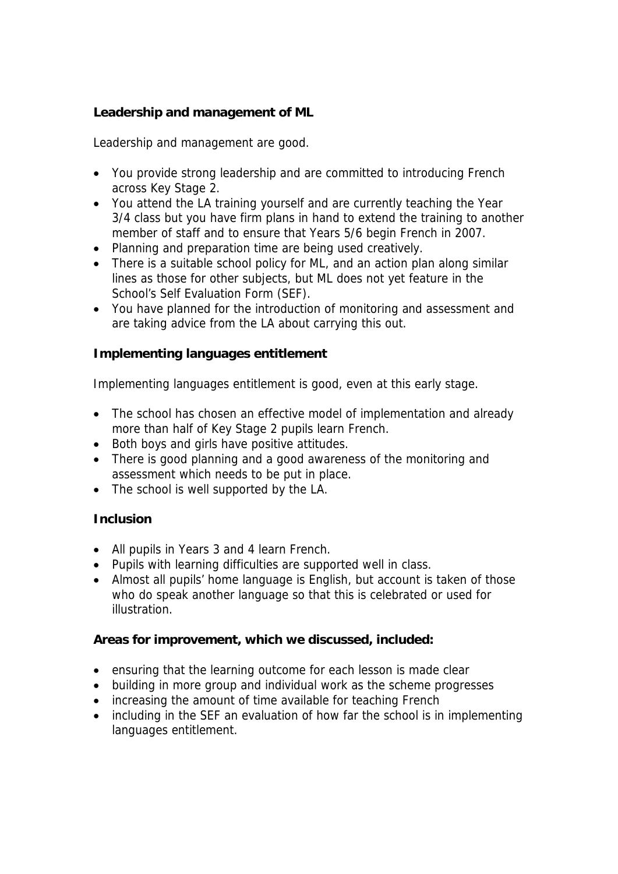**Leadership and management of ML**

Leadership and management are good.

- You provide strong leadership and are committed to introducing French across Key Stage 2.
- You attend the LA training yourself and are currently teaching the Year 3/4 class but you have firm plans in hand to extend the training to another member of staff and to ensure that Years 5/6 begin French in 2007.
- Planning and preparation time are being used creatively.
- There is a suitable school policy for ML, and an action plan along similar lines as those for other subjects, but ML does not yet feature in the School's Self Evaluation Form (SEF).
- You have planned for the introduction of monitoring and assessment and are taking advice from the LA about carrying this out.

**Implementing languages entitlement**

Implementing languages entitlement is good, even at this early stage.

- The school has chosen an effective model of implementation and already more than half of Key Stage 2 pupils learn French.
- Both boys and girls have positive attitudes.
- There is good planning and a good awareness of the monitoring and assessment which needs to be put in place.
- The school is well supported by the LA.

## **Inclusion**

- All pupils in Years 3 and 4 learn French.
- Pupils with learning difficulties are supported well in class.
- Almost all pupils' home language is English, but account is taken of those who do speak another language so that this is celebrated or used for illustration.

**Areas for improvement, which we discussed, included:**

- ensuring that the learning outcome for each lesson is made clear
- building in more group and individual work as the scheme progresses
- increasing the amount of time available for teaching French
- including in the SEF an evaluation of how far the school is in implementing languages entitlement.